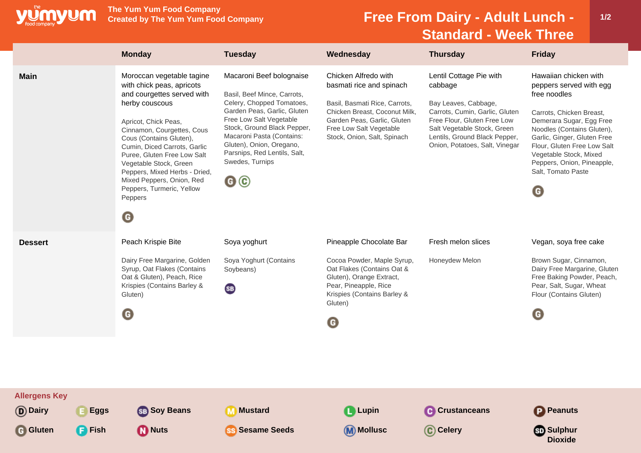

**The Yum Yum Food Company**

## **Free From Dairy - Adult Lunch -Standard - Week Three**

**1/2**

|                                               | <b>Monday</b>                                                                                                                                                                                                                                                                                                                                                                                                   | <b>Tuesday</b>                                                                                                                                                                                                                                                                                                  | Wednesday                                                                                                                                                                                                   | <b>Thursday</b>                                                                                                                                                                                                               | <b>Friday</b>                                                                                                                                                                                                                                                                                           |
|-----------------------------------------------|-----------------------------------------------------------------------------------------------------------------------------------------------------------------------------------------------------------------------------------------------------------------------------------------------------------------------------------------------------------------------------------------------------------------|-----------------------------------------------------------------------------------------------------------------------------------------------------------------------------------------------------------------------------------------------------------------------------------------------------------------|-------------------------------------------------------------------------------------------------------------------------------------------------------------------------------------------------------------|-------------------------------------------------------------------------------------------------------------------------------------------------------------------------------------------------------------------------------|---------------------------------------------------------------------------------------------------------------------------------------------------------------------------------------------------------------------------------------------------------------------------------------------------------|
| <b>Main</b>                                   | Moroccan vegetable tagine<br>with chick peas, apricots<br>and courgettes served with<br>herby couscous<br>Apricot, Chick Peas,<br>Cinnamon, Courgettes, Cous<br>Cous (Contains Gluten),<br>Cumin, Diced Carrots, Garlic<br>Puree, Gluten Free Low Salt<br>Vegetable Stock, Green<br>Peppers, Mixed Herbs - Dried,<br>Mixed Peppers, Onion, Red<br>Peppers, Turmeric, Yellow<br>Peppers<br>$\boldsymbol{\Theta}$ | Macaroni Beef bolognaise<br>Basil, Beef Mince, Carrots,<br>Celery, Chopped Tomatoes,<br>Garden Peas, Garlic, Gluten<br>Free Low Salt Vegetable<br>Stock, Ground Black Pepper,<br>Macaroni Pasta (Contains:<br>Gluten), Onion, Oregano,<br>Parsnips, Red Lentils, Salt,<br>Swedes, Turnips<br>$\mathbf{G} \odot$ | Chicken Alfredo with<br>basmati rice and spinach<br>Basil, Basmati Rice, Carrots,<br>Chicken Breast, Coconut Milk,<br>Garden Peas, Garlic, Gluten<br>Free Low Salt Vegetable<br>Stock, Onion, Salt, Spinach | Lentil Cottage Pie with<br>cabbage<br>Bay Leaves, Cabbage,<br>Carrots, Cumin, Garlic, Gluten<br>Free Flour, Gluten Free Low<br>Salt Vegetable Stock, Green<br>Lentils, Ground Black Pepper,<br>Onion, Potatoes, Salt, Vinegar | Hawaiian chicken with<br>peppers served with egg<br>free noodles<br>Carrots, Chicken Breast,<br>Demerara Sugar, Egg Free<br>Noodles (Contains Gluten),<br>Garlic, Ginger, Gluten Free<br>Flour, Gluten Free Low Salt<br>Vegetable Stock, Mixed<br>Peppers, Onion, Pineapple,<br>Salt, Tomato Paste<br>G |
| <b>Dessert</b>                                | Peach Krispie Bite<br>Dairy Free Margarine, Golden<br>Syrup, Oat Flakes (Contains<br>Oat & Gluten), Peach, Rice<br>Krispies (Contains Barley &<br>Gluten)<br>$\mathbf G$                                                                                                                                                                                                                                        | Soya yoghurt<br>Soya Yoghurt (Contains<br>Soybeans)<br>(SB)                                                                                                                                                                                                                                                     | Pineapple Chocolate Bar<br>Cocoa Powder, Maple Syrup,<br>Oat Flakes (Contains Oat &<br>Gluten), Orange Extract,<br>Pear, Pineapple, Rice<br>Krispies (Contains Barley &<br>Gluten)<br>G                     | Fresh melon slices<br>Honeydew Melon                                                                                                                                                                                          | Vegan, soya free cake<br>Brown Sugar, Cinnamon,<br>Dairy Free Margarine, Gluten<br>Free Baking Powder, Peach,<br>Pear, Salt, Sugar, Wheat<br>Flour (Contains Gluten)<br>G                                                                                                                               |
| <b>Allergens Key</b><br>(D) Dairy<br>$E$ Eggs | <b>SB</b> Soy Beans                                                                                                                                                                                                                                                                                                                                                                                             | <b>Mustard</b><br>M                                                                                                                                                                                                                                                                                             | <b>Q</b> Lupin                                                                                                                                                                                              | <b>C</b> Crustanceans                                                                                                                                                                                                         | <b>P</b> Peanuts                                                                                                                                                                                                                                                                                        |
| <b>G</b> Gluten<br><b>P</b> Fish              | <b>M</b> Nuts                                                                                                                                                                                                                                                                                                                                                                                                   | <b>Sesame Seeds</b><br><b>SS</b>                                                                                                                                                                                                                                                                                | <b>M</b> Mollusc                                                                                                                                                                                            | C Celery                                                                                                                                                                                                                      | <b>Sulphur</b><br><b>Dioxide</b>                                                                                                                                                                                                                                                                        |